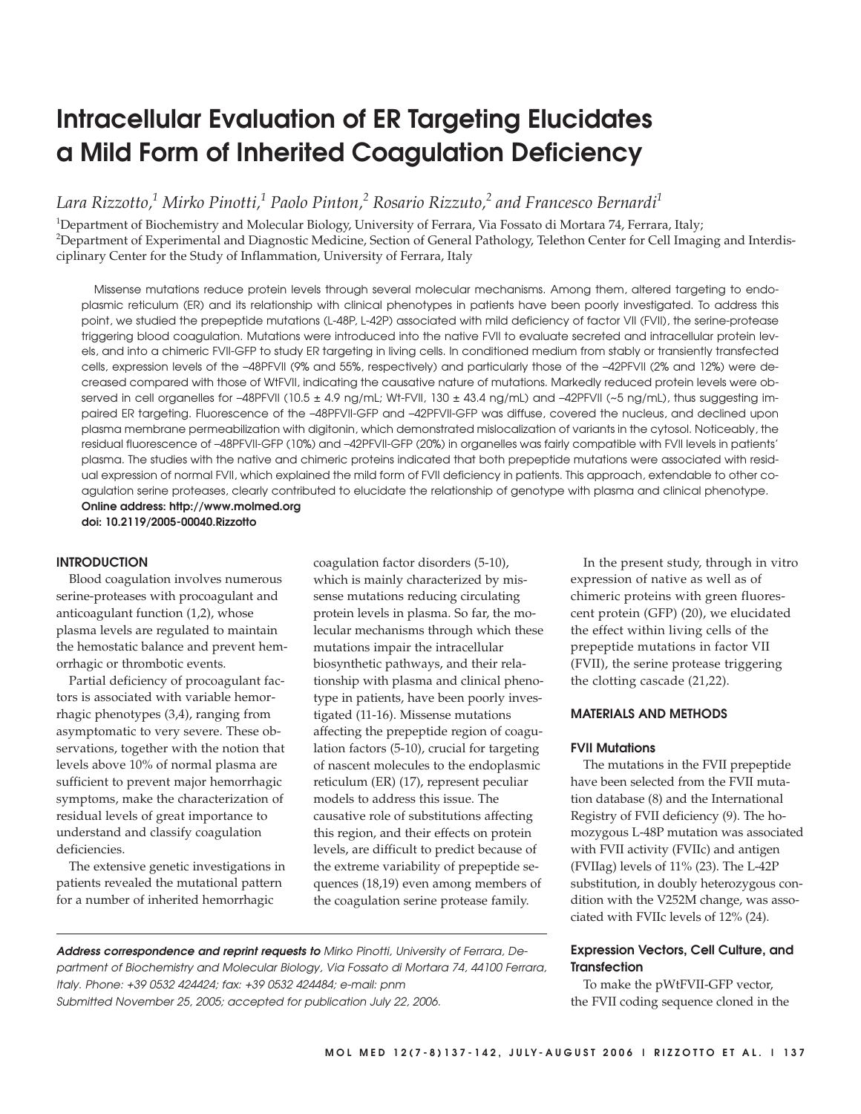# **Intracellular Evaluation of ER Targeting Elucidates a Mild Form of Inherited Coagulation Deficiency**

*Lara Rizzotto,1 Mirko Pinotti,<sup>1</sup> Paolo Pinton,2 Rosario Rizzuto,2 and Francesco Bernardi<sup>1</sup>*

<sup>1</sup>Department of Biochemistry and Molecular Biology, University of Ferrara, Via Fossato di Mortara 74, Ferrara, Italy; 2 Department of Experimental and Diagnostic Medicine, Section of General Pathology, Telethon Center for Cell Imaging and Interdisciplinary Center for the Study of Inflammation, University of Ferrara, Italy

Missense mutations reduce protein levels through several molecular mechanisms. Among them, altered targeting to endoplasmic reticulum (ER) and its relationship with clinical phenotypes in patients have been poorly investigated. To address this point, we studied the prepeptide mutations (L-48P, L-42P) associated with mild deficiency of factor VII (FVII), the serine-protease triggering blood coagulation. Mutations were introduced into the native FVII to evaluate secreted and intracellular protein levels, and into a chimeric FVII-GFP to study ER targeting in living cells. In conditioned medium from stably or transiently transfected cells, expression levels of the –48PFVII (9% and 55%, respectively) and particularly those of the –42PFVII (2% and 12%) were decreased compared with those of WtFVII, indicating the causative nature of mutations. Markedly reduced protein levels were observed in cell organelles for  $-48$ PFVII (10.5  $\pm$  4.9 ng/mL; Wt-FVII, 130  $\pm$  43.4 ng/mL) and  $-42$ PFVII ( $\sim$ 5 ng/mL), thus suggesting impaired ER targeting. Fluorescence of the –48PFVII-GFP and –42PFVII-GFP was diffuse, covered the nucleus, and declined upon plasma membrane permeabilization with digitonin, which demonstrated mislocalization of variants in the cytosol. Noticeably, the residual fluorescence of –48PFVII-GFP (10%) and –42PFVII-GFP (20%) in organelles was fairly compatible with FVII levels in patients' plasma. The studies with the native and chimeric proteins indicated that both prepeptide mutations were associated with residual expression of normal FVII, which explained the mild form of FVII deficiency in patients. This approach, extendable to other coagulation serine proteases, clearly contributed to elucidate the relationship of genotype with plasma and clinical phenotype. **Online address: http://www.molmed.org**

**doi: 10.2119/2005-00040.Rizzotto**

# **INTRODUCTION**

Blood coagulation involves numerous serine-proteases with procoagulant and anticoagulant function (1,2), whose plasma levels are regulated to maintain the hemostatic balance and prevent hemorrhagic or thrombotic events.

Partial deficiency of procoagulant factors is associated with variable hemorrhagic phenotypes (3,4), ranging from asymptomatic to very severe. These observations, together with the notion that levels above 10% of normal plasma are sufficient to prevent major hemorrhagic symptoms, make the characterization of residual levels of great importance to understand and classify coagulation deficiencies.

The extensive genetic investigations in patients revealed the mutational pattern for a number of inherited hemorrhagic

coagulation factor disorders (5-10), which is mainly characterized by missense mutations reducing circulating protein levels in plasma. So far, the molecular mechanisms through which these mutations impair the intracellular biosynthetic pathways, and their relationship with plasma and clinical phenotype in patients, have been poorly investigated (11-16). Missense mutations affecting the prepeptide region of coagulation factors (5-10), crucial for targeting of nascent molecules to the endoplasmic reticulum (ER) (17), represent peculiar models to address this issue. The causative role of substitutions affecting this region, and their effects on protein levels, are difficult to predict because of the extreme variability of prepeptide sequences (18,19) even among members of the coagulation serine protease family.

In the present study, through in vitro expression of native as well as of chimeric proteins with green fluorescent protein (GFP) (20), we elucidated the effect within living cells of the prepeptide mutations in factor VII (FVII), the serine protease triggering the clotting cascade (21,22).

# **MATERIALS AND METHODS**

## **FVII Mutations**

The mutations in the FVII prepeptide have been selected from the FVII mutation database (8) and the International Registry of FVII deficiency (9). The homozygous L-48P mutation was associated with FVII activity (FVIIc) and antigen (FVIIag) levels of 11% (23). The L-42P substitution, in doubly heterozygous condition with the V252M change, was associated with FVIIc levels of 12% (24).

# **Expression Vectors, Cell Culture, and Transfection**

To make the pWtFVII-GFP vector, the FVII coding sequence cloned in the

**Address correspondence and reprint requests to** Mirko Pinotti, University of Ferrara, Department of Biochemistry and Molecular Biology, Via Fossato di Mortara 74, 44100 Ferrara, Italy. Phone: +39 0532 424424; fax: +39 0532 424484; e-mail: pnm Submitted November 25, 2005; accepted for publication July 22, 2006.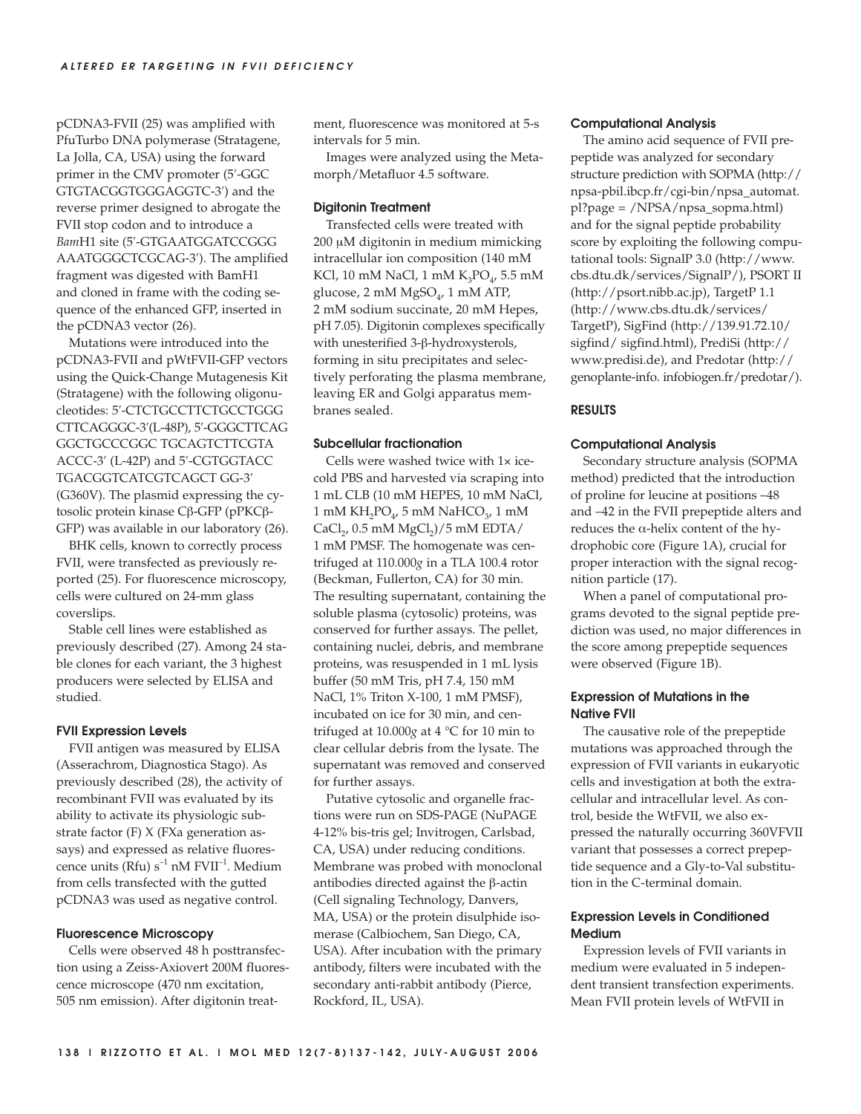pCDNA3-FVII (25) was amplified with PfuTurbo DNA polymerase (Stratagene, La Jolla, CA, USA) using the forward primer in the CMV promoter (5′-GGC GTGTACGGTGGGAGGTC-3′) and the reverse primer designed to abrogate the FVII stop codon and to introduce a *Bam*H1 site (5′-GTGAATGGATCCGGG AAATGGGCTCGCAG-3′). The amplified fragment was digested with BamH1 and cloned in frame with the coding sequence of the enhanced GFP, inserted in the pCDNA3 vector (26).

Mutations were introduced into the pCDNA3-FVII and pWtFVII-GFP vectors using the Quick-Change Mutagenesis Kit (Stratagene) with the following oligonucleotides: 5′-CTCTGCCTTCTGCCTGGG CTTCAGGGC-3′(L-48P), 5′-GGGCTTCAG GGCTGCCCGGC TGCAGTCTTCGTA ACCC-3′ (L-42P) and 5′-CGTGGTACC TGACGGTCATCGTCAGCT GG-3′ (G360V). The plasmid expressing the cytosolic protein kinase Cβ-GFP (pPKCβ-GFP) was available in our laboratory (26).

BHK cells, known to correctly process FVII, were transfected as previously reported (25). For fluorescence microscopy, cells were cultured on 24-mm glass coverslips.

Stable cell lines were established as previously described (27). Among 24 stable clones for each variant, the 3 highest producers were selected by ELISA and studied.

#### **FVII Expression Levels**

FVII antigen was measured by ELISA (Asserachrom, Diagnostica Stago). As previously described (28), the activity of recombinant FVII was evaluated by its ability to activate its physiologic substrate factor (F) X (FXa generation assays) and expressed as relative fluorescence units ( $Rfu$ )  $s^{-1}$  nM  $FVII^{-1}$ . Medium from cells transfected with the gutted pCDNA3 was used as negative control.

#### **Fluorescence Microscopy**

Cells were observed 48 h posttransfection using a Zeiss-Axiovert 200M fluorescence microscope (470 nm excitation, 505 nm emission). After digitonin treatment, fluorescence was monitored at 5-s intervals for 5 min.

Images were analyzed using the Metamorph/Metafluor 4.5 software.

#### **Digitonin Treatment**

Transfected cells were treated with 200 μM digitonin in medium mimicking intracellular ion composition (140 mM KCl, 10 mM NaCl, 1 mM  $K_3PO_\nu$  5.5 mM glucose,  $2 \text{ mM MgSO}_4$ ,  $1 \text{ mM ATP}$ , 2 mM sodium succinate, 20 mM Hepes, pH 7.05). Digitonin complexes specifically with unesterified 3-β-hydroxysterols, forming in situ precipitates and selectively perforating the plasma membrane, leaving ER and Golgi apparatus membranes sealed.

## **Subcellular fractionation**

Cells were washed twice with 1× icecold PBS and harvested via scraping into 1 mL CLB (10 mM HEPES, 10 mM NaCl, 1 mM KH<sub>2</sub>PO<sub>4</sub>, 5 mM NaHCO<sub>3</sub>, 1 mM CaCl<sub>2</sub>,  $0.5$  mM MgCl<sub>2</sub> $)/5$  mM EDTA/ 1 mM PMSF. The homogenate was centrifuged at 110.000*g* in a TLA 100.4 rotor (Beckman, Fullerton, CA) for 30 min. The resulting supernatant, containing the soluble plasma (cytosolic) proteins, was conserved for further assays. The pellet, containing nuclei, debris, and membrane proteins, was resuspended in 1 mL lysis buffer (50 mM Tris, pH 7.4, 150 mM NaCl, 1% Triton X-100, 1 mM PMSF), incubated on ice for 30 min, and centrifuged at 10.000*g* at 4 °C for 10 min to clear cellular debris from the lysate. The supernatant was removed and conserved for further assays.

Putative cytosolic and organelle fractions were run on SDS-PAGE (NuPAGE 4-12% bis-tris gel; Invitrogen, Carlsbad, CA, USA) under reducing conditions. Membrane was probed with monoclonal antibodies directed against the β-actin (Cell signaling Technology, Danvers, MA, USA) or the protein disulphide isomerase (Calbiochem, San Diego, CA, USA). After incubation with the primary antibody, filters were incubated with the secondary anti-rabbit antibody (Pierce, Rockford, IL, USA).

#### **Computational Analysis**

The amino acid sequence of FVII prepeptide was analyzed for secondary structure prediction with SOPMA (http:// npsa-pbil.ibcp.fr/cgi-bin/npsa\_automat. pl?page = /NPSA/npsa\_sopma.html) and for the signal peptide probability score by exploiting the following computational tools: SignalP 3.0 (http://www. cbs.dtu.dk/services/SignalP/), PSORT II (http://psort.nibb.ac.jp), TargetP 1.1 (http://www.cbs.dtu.dk/services/ TargetP), SigFind (http://139.91.72.10/ sigfind/ sigfind.html), PrediSi (http:// www.predisi.de), and Predotar (http:// genoplante-info. infobiogen.fr/predotar/).

## **RESULTS**

#### **Computational Analysis**

Secondary structure analysis (SOPMA method) predicted that the introduction of proline for leucine at positions –48 and –42 in the FVII prepeptide alters and reduces the α-helix content of the hydrophobic core (Figure 1A), crucial for proper interaction with the signal recognition particle (17).

When a panel of computational programs devoted to the signal peptide prediction was used, no major differences in the score among prepeptide sequences were observed (Figure 1B).

# **Expression of Mutations in the Native FVII**

The causative role of the prepeptide mutations was approached through the expression of FVII variants in eukaryotic cells and investigation at both the extracellular and intracellular level. As control, beside the WtFVII, we also expressed the naturally occurring 360VFVII variant that possesses a correct prepeptide sequence and a Gly-to-Val substitution in the C-terminal domain.

## **Expression Levels in Conditioned Medium**

Expression levels of FVII variants in medium were evaluated in 5 independent transient transfection experiments. Mean FVII protein levels of WtFVII in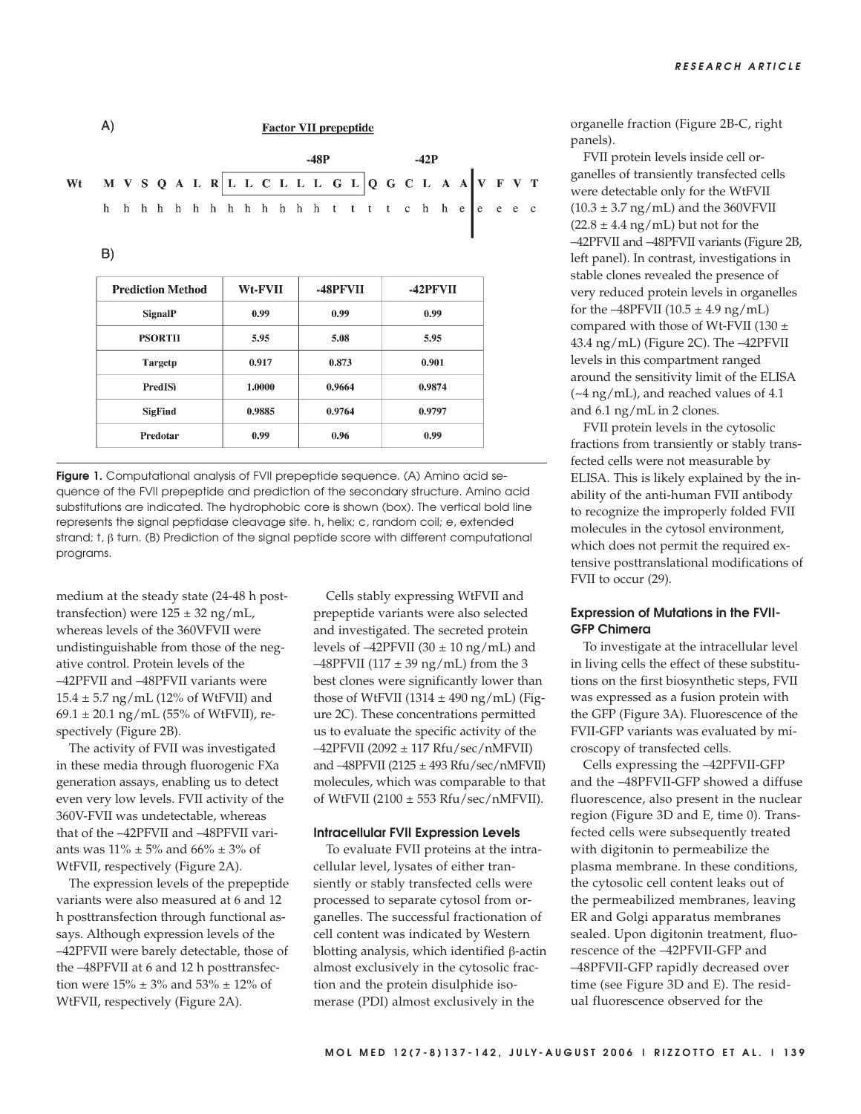|                                                          |  |  |  |  |  |        |  |  |  | <b>Factor VII prepeptide</b> |        |  |  |  |  |  |  |  |  |  |  |
|----------------------------------------------------------|--|--|--|--|--|--------|--|--|--|------------------------------|--------|--|--|--|--|--|--|--|--|--|--|
| Wt MVSQALRLLCLLLGLQGCLAAVFVT<br>hhhhhhhhhhhhhhtttchheeec |  |  |  |  |  | $-48P$ |  |  |  |                              | $-42P$ |  |  |  |  |  |  |  |  |  |  |
|                                                          |  |  |  |  |  |        |  |  |  |                              |        |  |  |  |  |  |  |  |  |  |  |
|                                                          |  |  |  |  |  |        |  |  |  |                              |        |  |  |  |  |  |  |  |  |  |  |
|                                                          |  |  |  |  |  |        |  |  |  |                              |        |  |  |  |  |  |  |  |  |  |  |
|                                                          |  |  |  |  |  |        |  |  |  |                              |        |  |  |  |  |  |  |  |  |  |  |

| <b>Prediction Method</b> | <b>Wt-FVII</b> | -48PFVII | -42PFVII                |  |  |  |
|--------------------------|----------------|----------|-------------------------|--|--|--|
| <b>SignalP</b>           | 0.99           | 0.99     | 0.99                    |  |  |  |
| <b>PSORTH</b>            | 5.95           | 5.08     | 5.95<br>0.901<br>0.9874 |  |  |  |
| <b>Targetp</b>           | 0.917          | 0.873    |                         |  |  |  |
| PredISì                  | 1.0000         | 0.9664   |                         |  |  |  |
| <b>SigFind</b>           | 0.9885         | 0.9764   | 0.9797                  |  |  |  |
| Predotar                 | 0.99           | 0.96     | 0.99                    |  |  |  |

**Figure 1.** Computational analysis of FVII prepeptide sequence. (A) Amino acid sequence of the FVII prepeptide and prediction of the secondary structure. Amino acid substitutions are indicated. The hydrophobic core is shown (box). The vertical bold line represents the signal peptidase cleavage site. h, helix; c, random coil; e, extended strand;  $t$ ,  $\beta$  turn. (B) Prediction of the signal peptide score with different computational programs.

medium at the steady state (24-48 h posttransfection) were  $125 \pm 32$  ng/mL, whereas levels of the 360VFVII were undistinguishable from those of the negative control. Protein levels of the –42PFVII and –48PFVII variants were  $15.4 \pm 5.7$  ng/mL (12% of WtFVII) and 69.1  $\pm$  20.1 ng/mL (55% of WtFVII), respectively (Figure 2B).

The activity of FVII was investigated in these media through fluorogenic FXa generation assays, enabling us to detect even very low levels. FVII activity of the 360V-FVII was undetectable, whereas that of the –42PFVII and –48PFVII variants was  $11\% \pm 5\%$  and  $66\% \pm 3\%$  of WtFVII, respectively (Figure 2A).

The expression levels of the prepeptide variants were also measured at 6 and 12 h posttransfection through functional assays. Although expression levels of the –42PFVII were barely detectable, those of the –48PFVII at 6 and 12 h posttransfection were  $15\% \pm 3\%$  and  $53\% \pm 12\%$  of WtFVII, respectively (Figure 2A).

Cells stably expressing WtFVII and prepeptide variants were also selected and investigated. The secreted protein levels of  $-42$ PFVII (30  $\pm$  10 ng/mL) and  $-48$ PFVII (117  $\pm$  39 ng/mL) from the 3 best clones were significantly lower than those of WtFVII (1314  $\pm$  490 ng/mL) (Figure 2C). These concentrations permitted us to evaluate the specific activity of the  $-42$ PFVII (2092  $\pm$  117 Rfu/sec/nMFVII) and –48PFVII (2125 ± 493 Rfu/sec/nMFVII) molecules, which was comparable to that of WtFVII (2100 ± 553 Rfu/sec/nMFVII).

#### **Intracellular FVII Expression Levels**

To evaluate FVII proteins at the intracellular level, lysates of either transiently or stably transfected cells were processed to separate cytosol from organelles. The successful fractionation of cell content was indicated by Western blotting analysis, which identified β-actin almost exclusively in the cytosolic fraction and the protein disulphide isomerase (PDI) almost exclusively in the

organelle fraction (Figure 2B-C, right panels).

FVII protein levels inside cell organelles of transiently transfected cells were detectable only for the WtFVII  $(10.3 \pm 3.7 \text{ ng/mL})$  and the 360VFVII  $(22.8 \pm 4.4 \text{ ng/mL})$  but not for the –42PFVII and –48PFVII variants (Figure 2B, left panel). In contrast, investigations in stable clones revealed the presence of very reduced protein levels in organelles for the  $-48$ PFVII (10.5  $\pm$  4.9 ng/mL) compared with those of Wt-FVII (130  $\pm$ 43.4 ng/mL) (Figure 2C). The –42PFVII levels in this compartment ranged around the sensitivity limit of the ELISA  $(-4 \text{ ng/mL})$ , and reached values of 4.1 and 6.1 ng/mL in 2 clones.

FVII protein levels in the cytosolic fractions from transiently or stably transfected cells were not measurable by ELISA. This is likely explained by the inability of the anti-human FVII antibody to recognize the improperly folded FVII molecules in the cytosol environment, which does not permit the required extensive posttranslational modifications of FVII to occur (29).

## **Expression of Mutations in the FVII-GFP Chimera**

To investigate at the intracellular level in living cells the effect of these substitutions on the first biosynthetic steps, FVII was expressed as a fusion protein with the GFP (Figure 3A). Fluorescence of the FVII-GFP variants was evaluated by microscopy of transfected cells.

Cells expressing the –42PFVII-GFP and the –48PFVII-GFP showed a diffuse fluorescence, also present in the nuclear region (Figure 3D and E, time 0). Transfected cells were subsequently treated with digitonin to permeabilize the plasma membrane. In these conditions, the cytosolic cell content leaks out of the permeabilized membranes, leaving ER and Golgi apparatus membranes sealed. Upon digitonin treatment, fluorescence of the –42PFVII-GFP and –48PFVII-GFP rapidly decreased over time (see Figure 3D and E). The residual fluorescence observed for the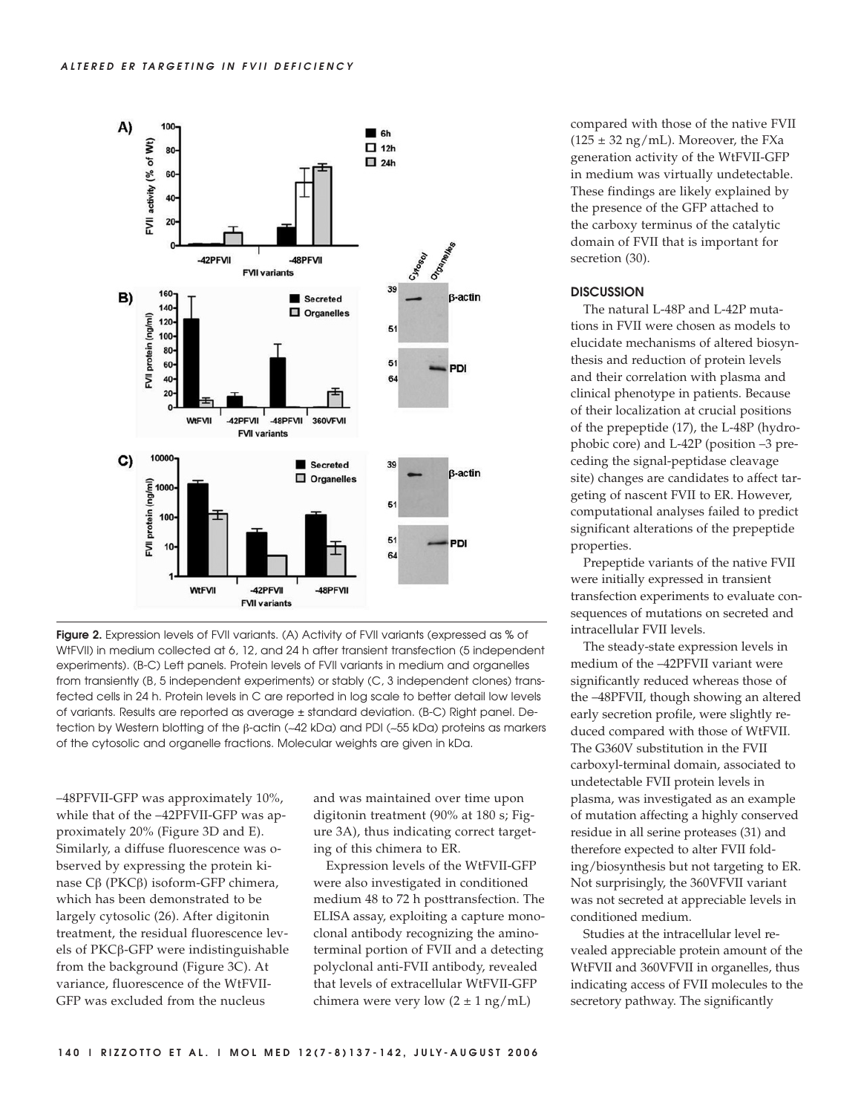

**Figure 2.** Expression levels of FVII variants. (A) Activity of FVII variants (expressed as % of WtFVII) in medium collected at 6, 12, and 24 h after transient transfection (5 independent experiments). (B-C) Left panels. Protein levels of FVII variants in medium and organelles from transiently (B, 5 independent experiments) or stably (C, 3 independent clones) transfected cells in 24 h. Protein levels in C are reported in log scale to better detail low levels of variants. Results are reported as average ± standard deviation. (B-C) Right panel. Detection by Western blotting of the β-actin (∼42 kDa) and PDI (∼55 kDa) proteins as markers of the cytosolic and organelle fractions. Molecular weights are given in kDa.

–48PFVII-GFP was approximately 10%, while that of the –42PFVII-GFP was approximately 20% (Figure 3D and E). Similarly, a diffuse fluorescence was observed by expressing the protein kinase Cβ (PKCβ) isoform-GFP chimera, which has been demonstrated to be largely cytosolic (26). After digitonin treatment, the residual fluorescence levels of PKCβ-GFP were indistinguishable from the background (Figure 3C). At variance, fluorescence of the WtFVII-GFP was excluded from the nucleus

and was maintained over time upon digitonin treatment (90% at 180 s; Figure 3A), thus indicating correct targeting of this chimera to ER.

Expression levels of the WtFVII-GFP were also investigated in conditioned medium 48 to 72 h posttransfection. The ELISA assay, exploiting a capture monoclonal antibody recognizing the aminoterminal portion of FVII and a detecting polyclonal anti-FVII antibody, revealed that levels of extracellular WtFVII-GFP chimera were very low  $(2 \pm 1 \text{ ng/mL})$ 

compared with those of the native FVII  $(125 \pm 32 \text{ ng/mL})$ . Moreover, the FXa generation activity of the WtFVII-GFP in medium was virtually undetectable. These findings are likely explained by the presence of the GFP attached to the carboxy terminus of the catalytic domain of FVII that is important for secretion (30).

### **DISCUSSION**

The natural L-48P and L-42P mutations in FVII were chosen as models to elucidate mechanisms of altered biosynthesis and reduction of protein levels and their correlation with plasma and clinical phenotype in patients. Because of their localization at crucial positions of the prepeptide (17), the L-48P (hydrophobic core) and L-42P (position –3 preceding the signal-peptidase cleavage site) changes are candidates to affect targeting of nascent FVII to ER. However, computational analyses failed to predict significant alterations of the prepeptide properties.

Prepeptide variants of the native FVII were initially expressed in transient transfection experiments to evaluate consequences of mutations on secreted and intracellular FVII levels.

The steady-state expression levels in medium of the –42PFVII variant were significantly reduced whereas those of the –48PFVII, though showing an altered early secretion profile, were slightly reduced compared with those of WtFVII. The G360V substitution in the FVII carboxyl-terminal domain, associated to undetectable FVII protein levels in plasma, was investigated as an example of mutation affecting a highly conserved residue in all serine proteases (31) and therefore expected to alter FVII folding/biosynthesis but not targeting to ER. Not surprisingly, the 360VFVII variant was not secreted at appreciable levels in conditioned medium.

Studies at the intracellular level revealed appreciable protein amount of the WtFVII and 360VFVII in organelles, thus indicating access of FVII molecules to the secretory pathway. The significantly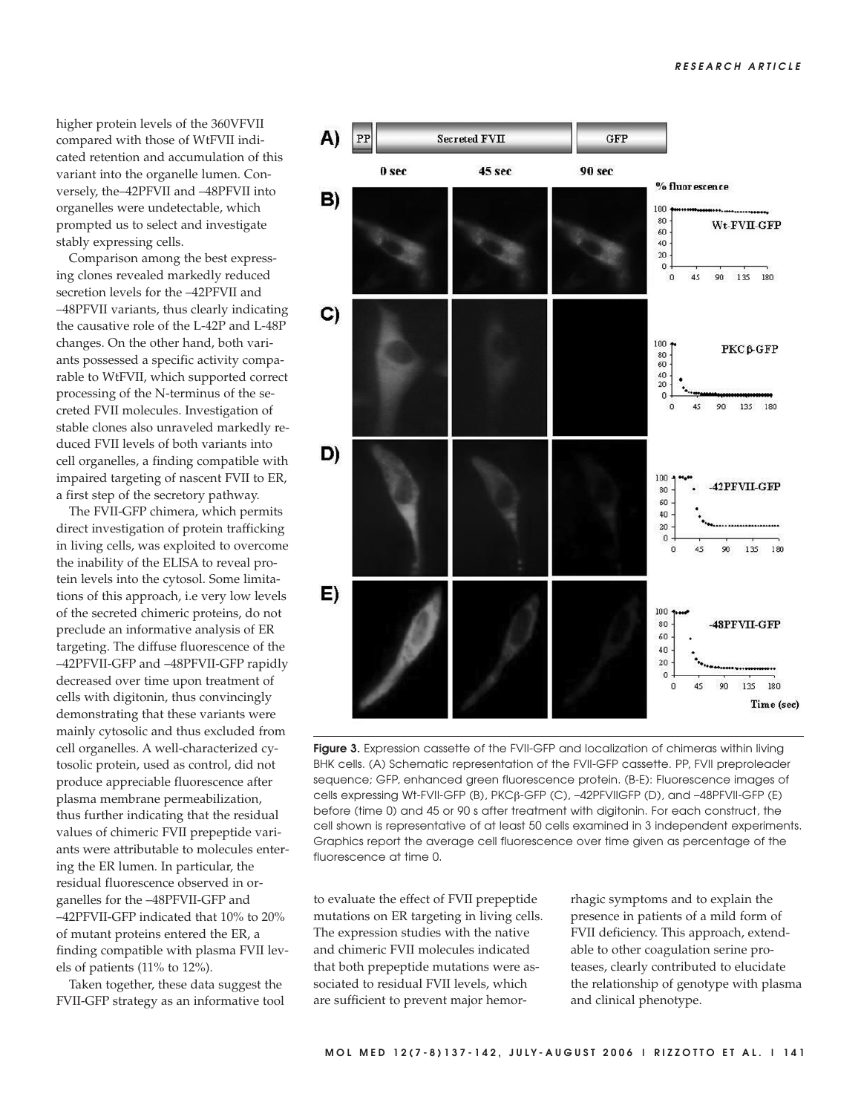higher protein levels of the 360VFVII compared with those of WtFVII indicated retention and accumulation of this variant into the organelle lumen. Conversely, the–42PFVII and –48PFVII into organelles were undetectable, which prompted us to select and investigate stably expressing cells.

Comparison among the best expressing clones revealed markedly reduced secretion levels for the –42PFVII and –48PFVII variants, thus clearly indicating the causative role of the L-42P and L-48P changes. On the other hand, both variants possessed a specific activity comparable to WtFVII, which supported correct processing of the N-terminus of the secreted FVII molecules. Investigation of stable clones also unraveled markedly reduced FVII levels of both variants into cell organelles, a finding compatible with impaired targeting of nascent FVII to ER, a first step of the secretory pathway.

The FVII-GFP chimera, which permits direct investigation of protein trafficking in living cells, was exploited to overcome the inability of the ELISA to reveal protein levels into the cytosol. Some limitations of this approach, i.e very low levels of the secreted chimeric proteins, do not preclude an informative analysis of ER targeting. The diffuse fluorescence of the –42PFVII-GFP and –48PFVII-GFP rapidly decreased over time upon treatment of cells with digitonin, thus convincingly demonstrating that these variants were mainly cytosolic and thus excluded from cell organelles. A well-characterized cytosolic protein, used as control, did not produce appreciable fluorescence after plasma membrane permeabilization, thus further indicating that the residual values of chimeric FVII prepeptide variants were attributable to molecules entering the ER lumen. In particular, the residual fluorescence observed in organelles for the –48PFVII-GFP and –42PFVII-GFP indicated that 10% to 20% of mutant proteins entered the ER, a finding compatible with plasma FVII levels of patients (11% to 12%).

Taken together, these data suggest the FVII-GFP strategy as an informative tool



**Figure 3.** Expression cassette of the FVII-GFP and localization of chimeras within living BHK cells. (A) Schematic representation of the FVII-GFP cassette. PP, FVII preproleader sequence; GFP, enhanced green fluorescence protein. (B-E): Fluorescence images of cells expressing Wt-FVII-GFP (B), PKCβ-GFP (C), –42PFVIIGFP (D), and –48PFVII-GFP (E) before (time 0) and 45 or 90 s after treatment with digitonin. For each construct, the cell shown is representative of at least 50 cells examined in 3 independent experiments. Graphics report the average cell fluorescence over time given as percentage of the fluorescence at time 0.

to evaluate the effect of FVII prepeptide mutations on ER targeting in living cells. The expression studies with the native and chimeric FVII molecules indicated that both prepeptide mutations were associated to residual FVII levels, which are sufficient to prevent major hemorrhagic symptoms and to explain the presence in patients of a mild form of FVII deficiency. This approach, extendable to other coagulation serine proteases, clearly contributed to elucidate the relationship of genotype with plasma and clinical phenotype.